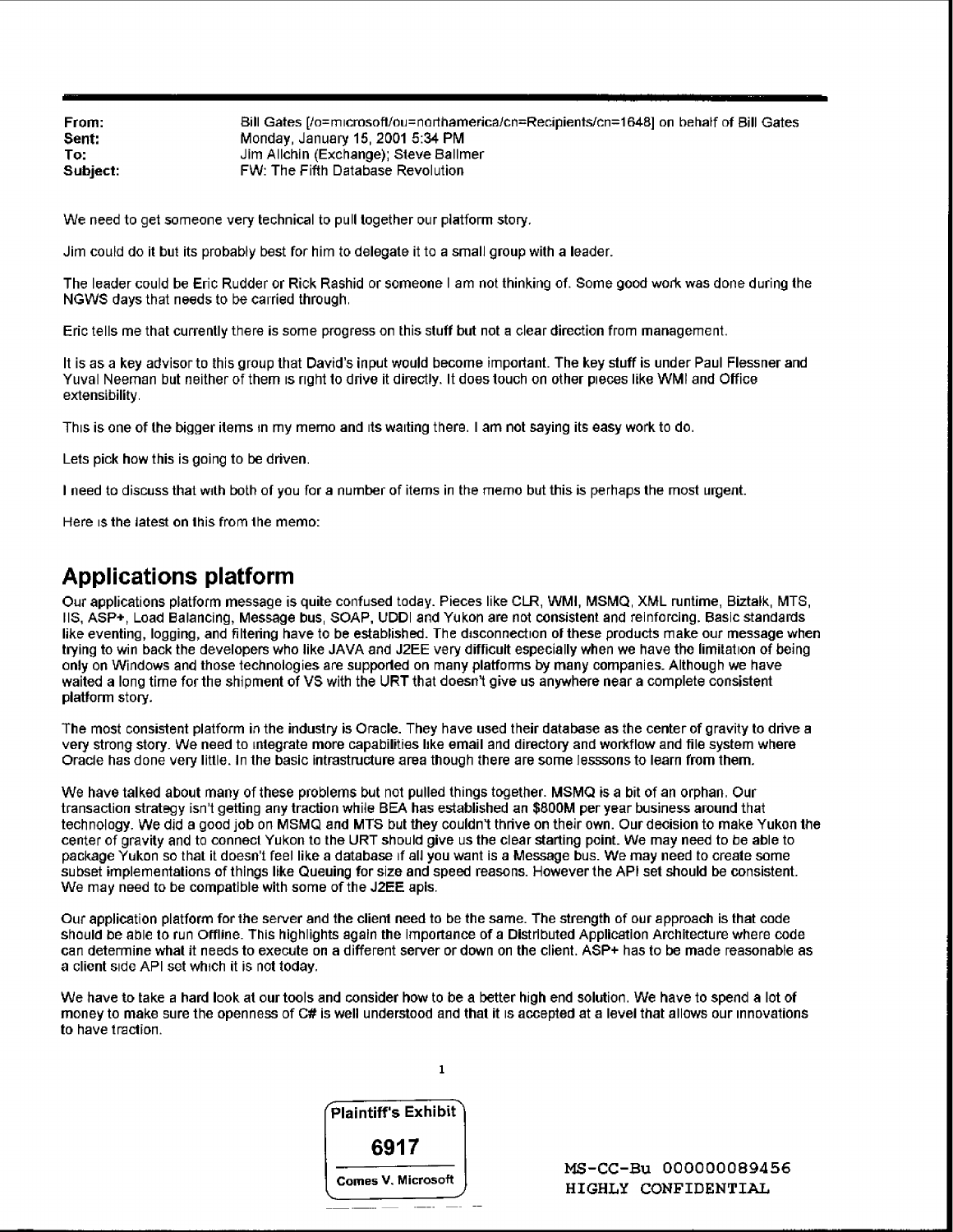From: Bill Gates [/o=microsoft/ou=northamerica/cn=Recipients/cn=1648] on behalf of Bill Gates ,Sent,' Monday, January 15, 2001 5:34 PM **To: Jim Alichin (Exchange); Steve Ballmer**<br> **Subject:** FW: The Fifth Database Revolution FW: The Fifth Database Revolution

 $\blacksquare$ 

We need to get someone very technical to pull together our platform story.

Jim could do it but its probably best for him to delegate it to a small group with a leader.

The leader could be Eric Rudder or Rick Rashid or someone I am not thinking of. Some good work was done during the NGWS days that needs to be carried through.

Eric tells me that currently there is some progress on this stuff but not a clear direction from management.

It is as a key advisor to this group that David's input would become important. The key stuff is under Paul Flessner and Yuval Neeman but neither of them is right to drive it directly. It does touch on other pieces like WMI and Office extensibility.

This is one of the bigger items in my memo and its waiting there. I am not saying its easy work to do.

Lets pick how this is going to be driven.

I need to discuss that with both of you for a number of items in the memo but this is perhaps the most urgent.

Here is the latest on this from the memo:

# **Applications platform**

Our applications platform message is quite confused today. Pieces like CLR, WMI, MSMQ, XML runtime, Biztalk, MTS, IIS, ASP+, Load Balancing, Message bus, SOAP, UDDI and Yukon are not consistent and reinforcing. Basic standards like eventing, logging, and filtering have to be established. The disconnection of these products make our message when trying to win back the developers who like JAVA and J2EE very difficult especially when we have the limitation of being only on Windows and those technologies are supporled on many platforms by many companies. Although we have waited a long time for the shipment of VS with the URT that doesn't give us anywhere near a complete consistent platform story.

The most consistent platform in the industry is Oracle. They have used their database as the center of gravity to drive a very strong story. We need to integrate more capabilities hke email and directory and workflow and tile system where Oracle has done very litlle. In the basic intrastructure area though there are some lesssons to learn from them.

We have talked about many of these problems but not pulled things together. MSMQ is a bit of an orphan. Our transaction strategy isn't getting any traction while BEA has established an \$800M per year business around that technology. We did a good job on MSMQ and MTS but they couldn't thrive on their own. Our decision to make Yukon the center of gravity and to connecl Yukon to the URT should give us the clear starting point. We may need to be able to package Yukon so that it doesn't feel like a database if all you want is a Message bus. We may need to create some subset implementations of things like Queuing for size and speed reasons. However the API set should be consistent. We may need to be compatible with some of the J2EE apis.

Our application platform for the server and the client need to be the same. The strength of our approach is that code should be able to run Offline. This highlights again the importance of a Distributed Application Architecture where code can determine what it needs to execute on a different server or down on the client. ASP+ has to be made reasonable as a client side API set which it is not today.

We have to take a hard look at our tools and consider how to be a better high end solution. We have to spend a lot of money to make sure the openness of  $C#$  is well understood and that it is accepted at a level that allows our innovations to have traction.



**4 MS-CC-Bu 000000089456**<br>**Comes V. Microsoft LComes V, Microso~ HIGHLY CONFIDENTIAL**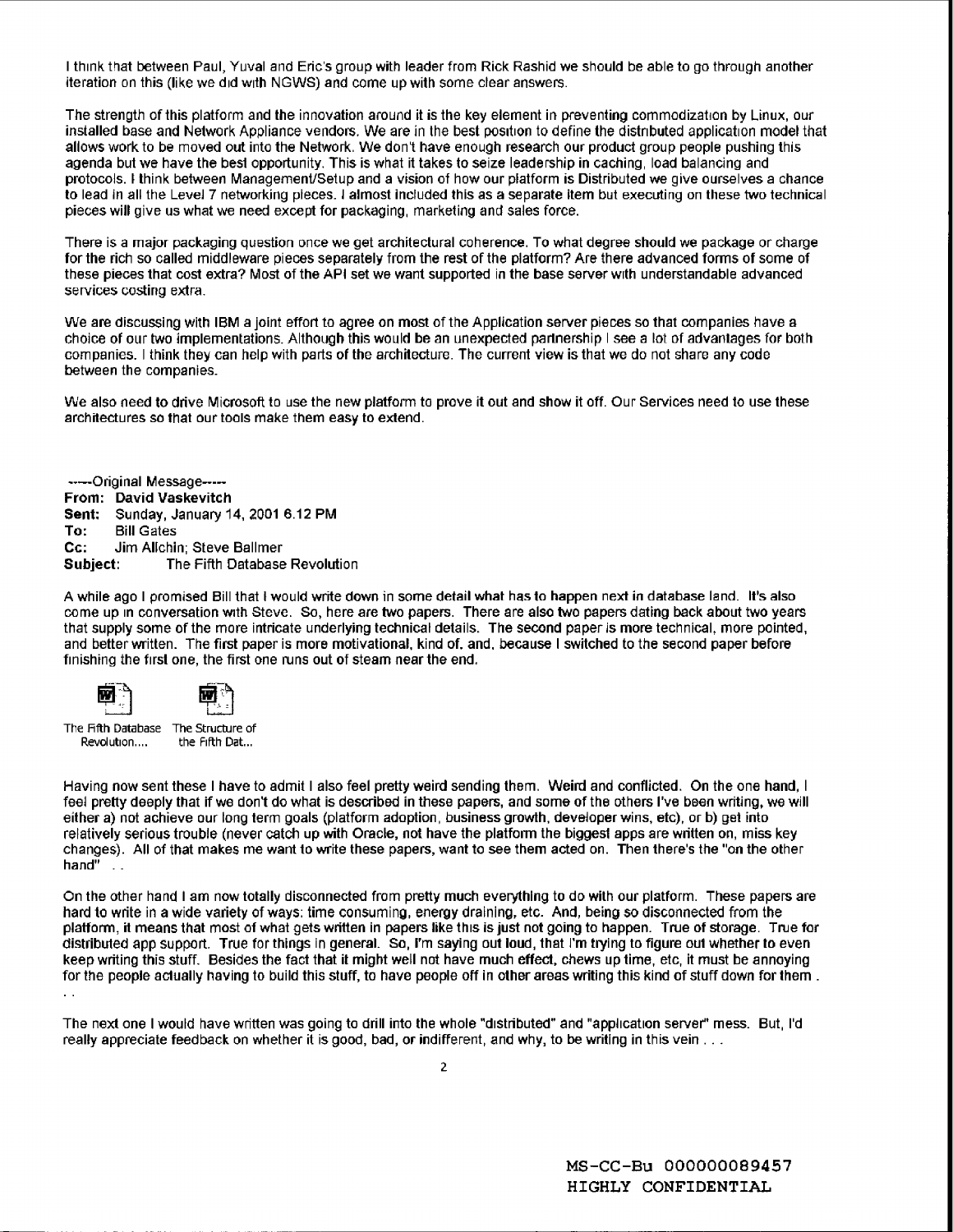I think that between Paul, Yuval and Eric's group with leader from Rick Rashid we should be able to go through another iteration on this (like we did with NGWS) and come up with some clear answers.

The strength of this platform and the innovation around it is the key element in preventing commodization by Linux, our installed base and Network Appliance vendors. We are in the best position to define the distributed application model that allows work to be moved out into the Network. We don't have enough research our product group people pushing this agenda but we have the best opportunity. This is what it takes to seize leadership in caching, load balancing and protocols. I think between Management/Setup and a vision of how our platform is Distributed we give ourselves a chance to lead in all the Level 7 networking pieces. I almost included this as a separate item but executing on these two technical pieces wilt give us what we need except for packaging, marketing and sales force.

There is a major packaging question once we get architectural coherence. To what degree should we package or charge for the rich so called middleware pieces separately from the rest of the platform? Are there advanced forms of some of these pieces that cost extra? Most of the API set we want supported in the base server with understandable advanced services costing extra.

We are discussing with IBM a joint effort to agree on most of the Application server pieces so that companies have a choice of our two implementations. Although this would be an unexpected partnership I see a lot of advanlages for both companies. I think they can help with parts of the architecture. The current view is that we do not share any code between the companies.

We also need to drive Microsoft to use the new platform to prove it out and show it off. Our Services need to use these architectures so that our tools make them easy to extend.

-----Original Message-----**From: David Vaskevitch** Sent: Sunday, January 14, 2001 6.12 PM To: Bill Gates Cc: Jim Allchin; Steve Ballmer Subject: The Fifth Database Revolution

A while ago I promised Bill that I would write down in some detail what has to happen next in database land. It's also come up in conversation with Steve. So, here are two papers. There are also two papers dating back about two years that supply some of the more intricate underlying technical details. The second paper is more technical, more pointed, and better written. The first paper is more motivational, kind of, and, because I switched to the second paper before finishing the first one, the first one runs out of steam near the end.



The Fifth Database The Structure of<br>Revolution.... the Fifth Dat... the Fifth Dat...

Having now sent these I have to admit I also feel pretty weird sending them. Weird and conflicted. On the one hand, I feet pretty deeply that if we don't do what is described in these papers, and some of the others I've been writing, we will either a) not achieve our long term goals (platform adoption, business growth, developer wins, etc), or b) get into relatively serious trouble (never catch up with Oracle, not have the platform the biggest apps are written on, miss key changes). All of that makes me want to write these papers, want to see them acted on. Then there's the "on the other hand" ..

On the other hand i am now totally disconnected from pretty much everything to do with our platform. These papers are hard to write in a wide variety of ways: time consuming, energy draining, etc. And, being so disconnected from the platform, it means that most of what gets written in papers like this is just not going to happen. True of storage. True for distributed app support. True for things in general. So, I'm saying out loud, that I'm trying to figure out whether 1o even keep writing this stuff. Besides the fact that it might well not have much effect, chews up time, etc, it must be annoying for the people actually having to build this stuff, to have people off in other areas writing this kind of stuff down for lhem.  $\mathcal{L}^{\mathcal{L}}$ 

The next one I would have written was going to drill into the whole "distributed" and "application server" mess. But, I'd really appreciate feedback on whether it is good, bad, or indifferent, and why, to be writing in this vein...

**MS-CC-Bu 000000089457 HIGHLY CONFIDENTIAL**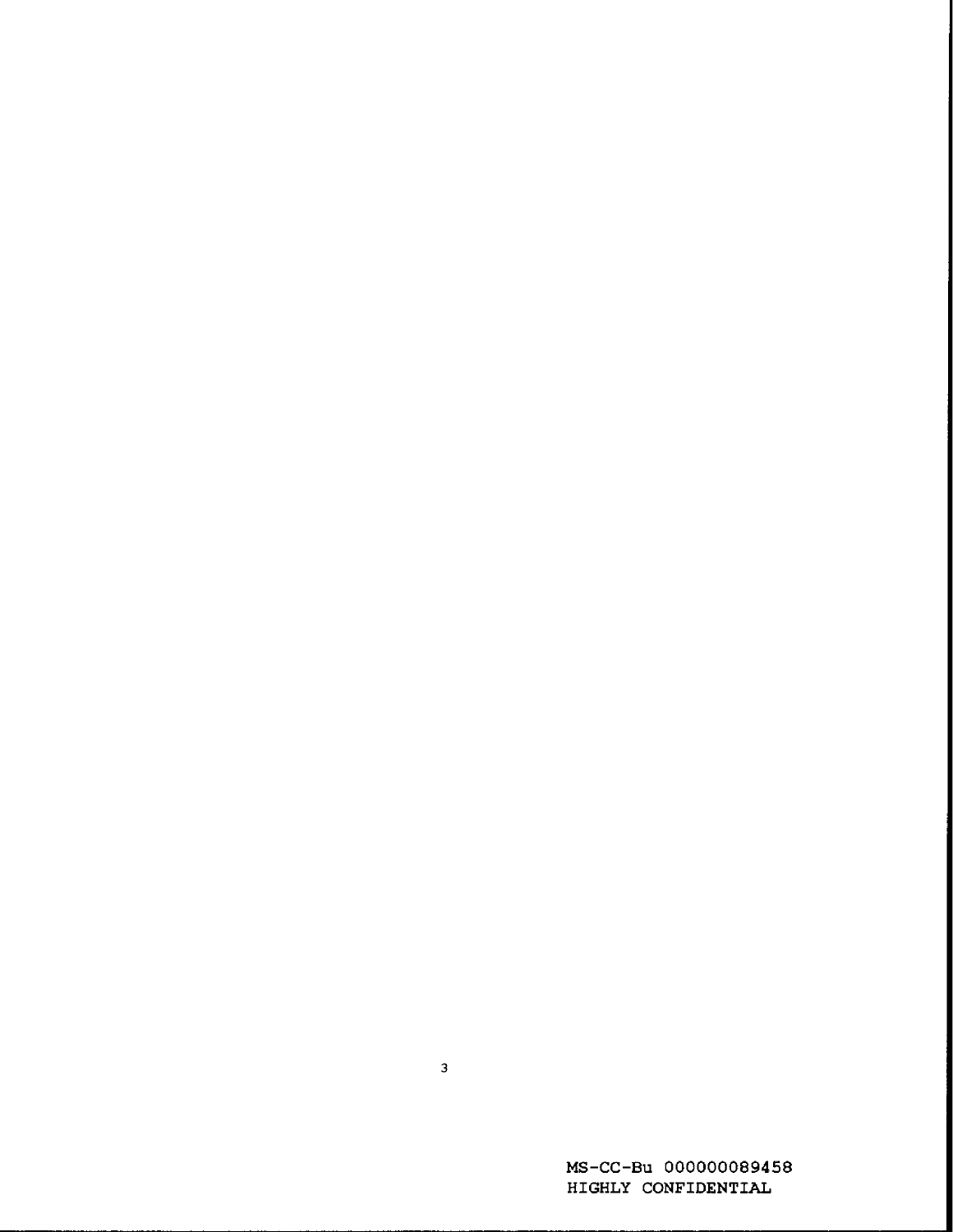MS-CC-Bu 000000089458 HIGHLY CONFIDENTIAL

 $\overline{\mathbf{3}}$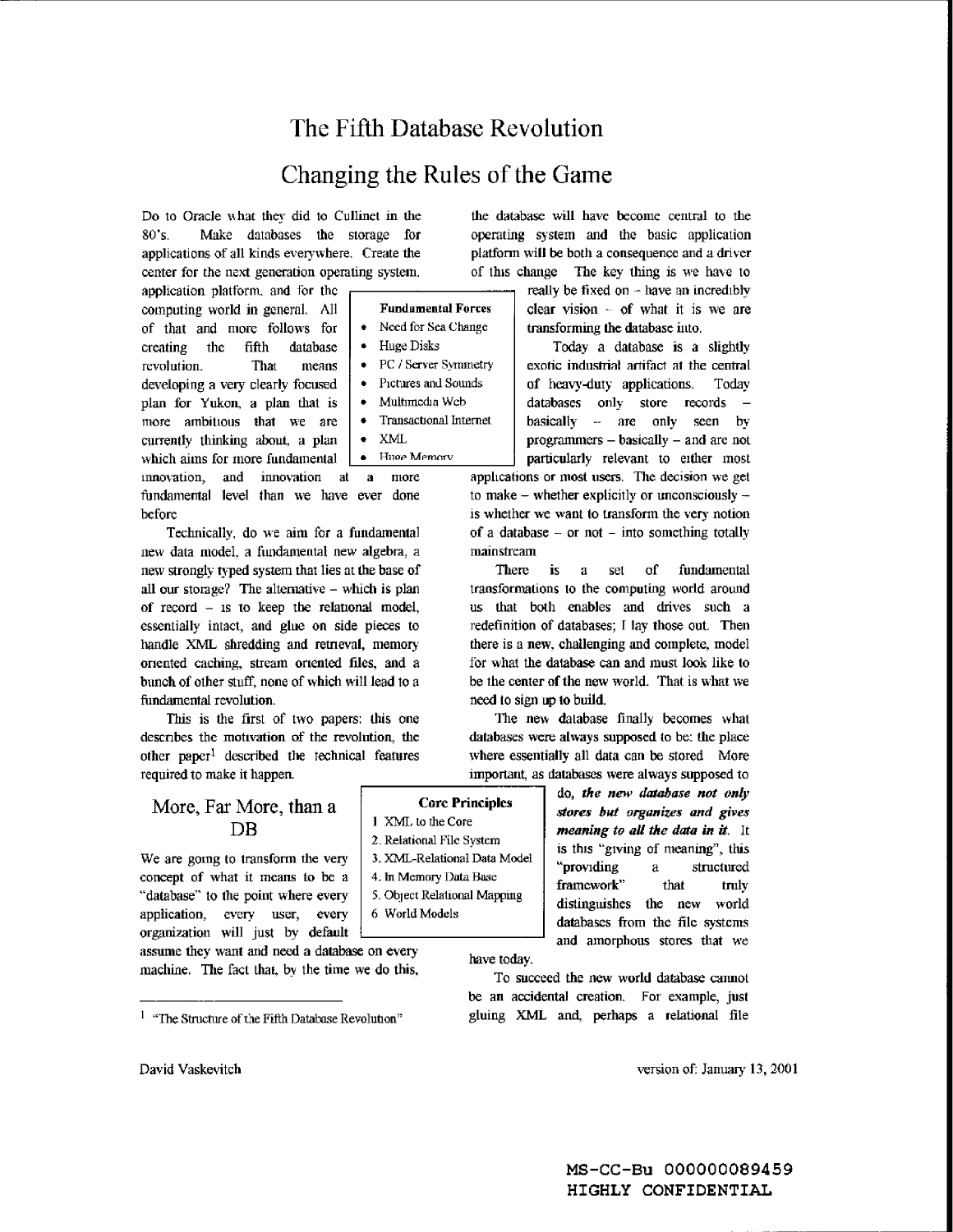# **The Fifth Database Revolution**

# **Changing the Rules of the Game**

80's. Make databases the storage for operating system and the basic application applications of all kinds everywhere. Create the platform will be both a consequence and a driver center for the next generation operating system, of this change The key thing is we have to

of that and more follows for  $\bullet$  Need for Sea Change transforming the database into.<br>creating the fifth database  $\bullet$  Huge Disks Today a database is a creating the fifth database  $\bullet$  Huge Disks  $\bullet$  Today a database is a slightly

fundamental level than we have ever done to make  $-$  whether explicitly or unconsciously  $$ before is whether we want to transform the very notion

new data model, a fimdamentat new algebra, a mainstream new strongly typed system that lies at the base of There is a set of fundamental all our storage? The alternative - which is plan transformations to the computing world around of record- is to keep the relational model, us that both enables and drives such a essentially intact, and glue on side pieces to redefinition of databases; I lay those out. Then handle XML shredding and retrieval, memory there is a new, challenging and complete, model<br>oriented caching, stream oriented files, and a for what the database can and must look like to btmch of other stuff, none of which will lead to a be the center of the new world. That is what we fundamental revolution. The contract of the sign up to build.

required to make it happen. **important** important, as databases were always supposed to

# More, Far More, than a **Core Principles** *and gives stores but organizes and gives*

concept of what it means to be a  $\begin{array}{|l|l|l|} 4. \text{ In Memory Data Base} \end{array}$  framework" that truly that truly that truly that truly that truly that truly that truly that truly that truly that the set of the set of the set of the set  $\begin{array}{c|c}\n\text{diationse to the point where every } \\
\text{application, every user, every }\n\end{array}\n\quad \text{C. Overl A models}\n\quad\n\begin{array}{c}\n\text{distinguishes the new world database}\n\end{array}$ organization will just by default and amorphous stores that we

assume they want and need a database on every have today. machine. The fact that, by the time we do this,<br>To succeed the new world database cannot

Do to Oracle what they did to Cullinet in the the database will have become central to the

application platform, and for the  $r =$  really be fixed on  $-$  have an incredibly computing world in general. All Fundamental Forces clear vision  $-$  of what it is we are

revolution. That means  $\bullet$  PC/Server Symmetry exotic industrial artifact at the central developing a very-clearly focused  $| \cdot |$  Pictures and Sounds of heavy-duty applications. Today plan for Yukon, a plan that is  $\begin{array}{|l|l|} \hline \bullet & \text{Multimeda Web} \\ \hline \end{array}$  databases only store records more ambitious that we are  $\bullet$  Transactional Internet basically - are only seen more ambitious that we are  $\bullet$  Transactional Internet basically - are only seen by currently thinking about, a plan  $\begin{vmatrix} \cdot & \cdot & \cdot & \cdot \\ \cdot & \cdot & \cdot & \cdot \\ \cdot & \cdot & \cdot & \cdot \\ \cdot & \cdot & \cdot & \cdot \end{vmatrix}$  programmers - basically - and are not which aims for more fundamental which aims for more fundamental  $| \cdot |$ <sup>+</sup> Huge Memory and **particularly relevant to either most** 

 $r_{\text{uncovation}}$  and innovation at a more applications or most users. The decision we get Technically, do we aim for a fundamental of a database - or not - into something totally

for what the database can and must look like to

This is the first of two papers: this one The new database finally becomes what describes the motivation of the revolution, the databases were always supposed to be: the place other paper1 described the technical features where essentially all data can be stored More

- 
- 
- 
- 
- 
- 

DB 1 XML to the Core **meaning to all the data in it.** It We are going to transform the very  $\begin{array}{|l|c|c|c|c|c|}\n\hline\n3. XML-Relational Data Model &\text{is this "giving of meaning", this "providing a structured concept of what it means to be a 4. In Memory Data Base &\n\end{array}$ 

do, *the new database not only*

be an accidental creation. For example, just <sup>1</sup> "The Structure of the Fifth Database Revolution" gluing XML and, perhaps a relational file

David Vaskevitch version of: January 13, 2001

**MS-CC-Bu 000000089459 HIGHLY CONFIDENTIAL**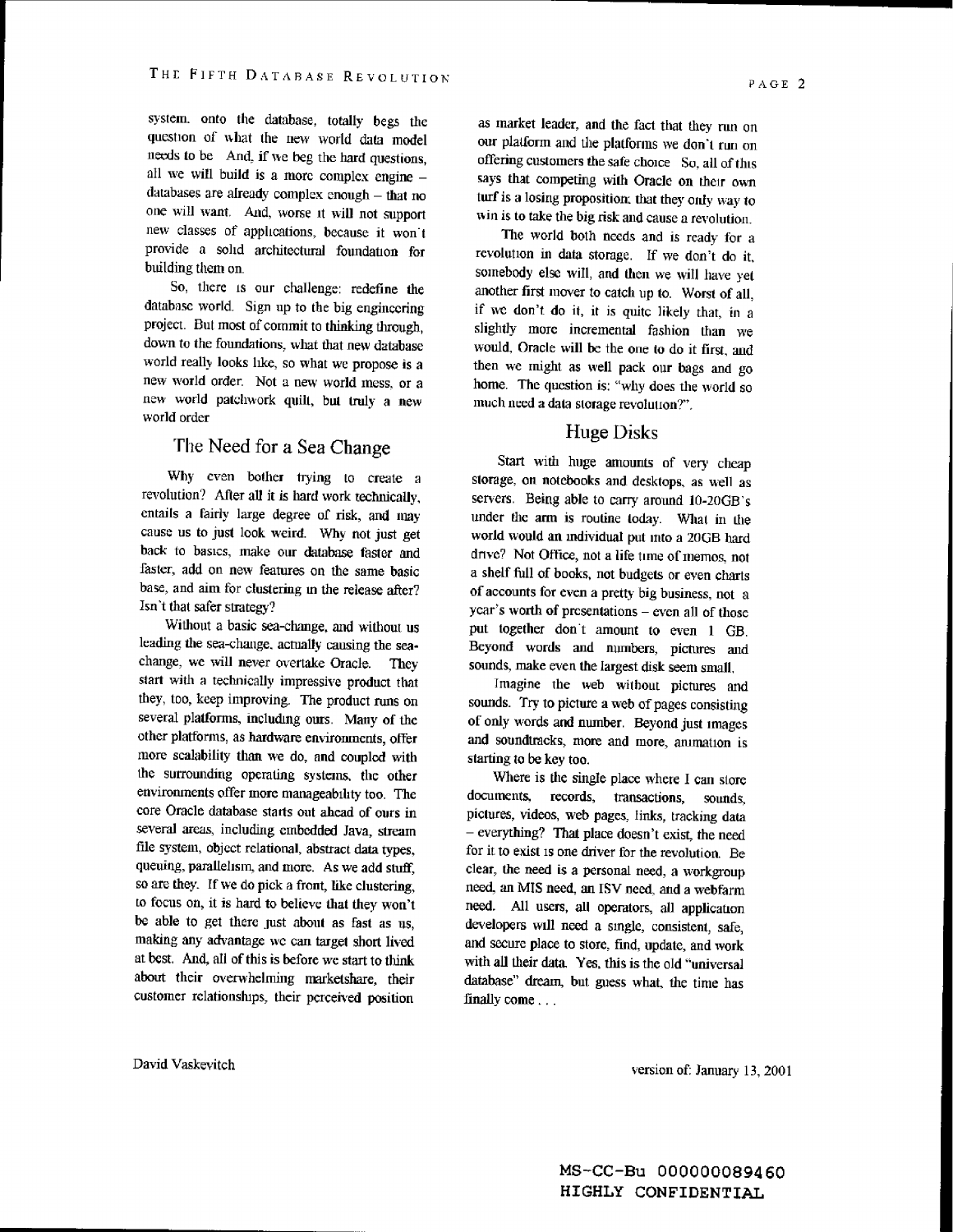system, onto the database, totally begs the as market leader, and the fact that they run on question of what the new world data model our platform and the platforms we don't run on needs to be. And, if we beg the hard questions, offering customers the safe choice. So, all of this all we will build is a more complex engine - says that competing with Oracle on their own databases are already complex enough - that no turf is a losing proposition: that they only way to one will want. And, worse it will not support win is to take the big risk and cause a revolution. new classes of applications, because it won't The world both needs and is ready for a provide a solid architectural foundation for revolution in data storage. If we don't do it,<br>building them on.

database world. Sign up to the big engineering if we don't do it, it is quite likely that, in a project. But most of commit to thinking through, slightly more incremental fashion than we down to the foundations, what that new database would, Oracle will be the one to do it first, and world really looks like, so what we propose is a then we might as well pack our bags and go world really looks like, so what we propose is a then we might as well pack our bags and go new world order. Not a new world mess, or a the meeting is: "why does the world so new world patchwork quilt, but truly a new much need a data storage revolution?". world order

# **Huge Disks The Need for a Sea Change**

revolution? After all it is hard work technically, servers. Being able to carry around 10-20GB's entails a fairly large degree of risk, and may under the arm is routine today. What in the entails a fairly large degree of risk, and may under the arm is routine today. What in the cause us to just look weird. Why not just get world would an individual put into a 20GB hard cause us to just look weird. Why not just get world would an individual put into a 20GB hard<br>back to basics, make our database faster and drive? Not Office, not a life time of memos not faster, add on new features on the same basic a shelf full of books, not budgets or even charts<br>base, and aim for clustering in the release after? of accounts for even a pretty big business not a base, and aim for clustering in the release after? of accounts for even a pretty big business, not a<br>Isn't that safer strategy? variable for these

leading the sea-change, actually causing the sea-<br>change, we will never overtake Oracle. They sounds make even the largest disk seem small start with a technically impressive product that Imagine the web without pictures and they, too, keep improving. The product runs on sounds. Try to picture a web of nages consisting they, too, keep improving. The product runs on sounds. Try to picture a web of pages consisting several platforms, including ours. Many of the of only words and number. Beyond just images several platforms, including ours. Many of the of only words and number. Beyond just images other platforms, as hardware environments, offer and soundtracks, more and more, animation is more scalability than we do, and coupled with starting to be key too. the surrounding operating systems, the other Where is the single place where I can store environments offer more manageability too. The documents, records, transactions, sounds, core Oracle database starts out ahead of ours in pictures, videos, web pages, links, tracking data core Oracle database starts out ahead of ours in pictures, videos, web pages, links, tracking data<br>several areas, including embedded Java, stream - everything? That place doesn't exist the need several areas, including embedded Java, stream  $-$  everything? That place doesn't exist, the need file system, object relational, abstract data types, for it to exist is one driver for the revolution. Be file system, object relational, abstract data types, for it to exist is one driver for the revolution. Be queuing, parallelism, and more. As we add stuff, clear, the need is a nersonal need a workgroun so are they. If we do pick a front, like clustering, need, an MIS need, an ISV need, and a webfarm to focus on, it is hard to believe that they won't need. All users, all operators, all application be able to get there just about as fast as us, developers will need a single, consistent, safe, making any advantage we can target short lived and secure place to store. find undate and work at best. And, all of this is before we start to think with all their data. Yes, this is the old "universal about their overwhelming marketshare, their database" dream, but guess what, the time has customer relationships, their perceived position finally come...

offering customers the safe choice *So, all of this* 

ding them on.<br>So, there is our challenge: redefine the another first mover to catch unite. We presented all another first mover to catch up to. Worst of all, slightly more incremental fashion than we home. The question is: "why does the world so

Start with huge amounts of very cheap Why even bother trying to create a storage, on notebooks and desktops, as well as revolution? After all it is hard work technically, servers. Being able to carry around 10-20GB's drive? Not Office, not a life time of memos, not that safer strategy?<br>Without a basic sea-change, and without us but together don't amount to even 1 GB Without a basic sea-change, and without us put together don't amount to even 1 GB.<br>leading the sea-change, actually causing the sea-<br>Beyond words and numbers, pictures and sounds, make even the largest disk seem small.

and soundtracks, more and more, animation is

clear, the need is a personal need, a workgroup need. All users, all operators, all application and secure place to store, find, update, and work

David Vaskevitch version of: January 13, 2001

**MS-CC-Bu 000000089460 HIGHLY CONFIDENTIAL**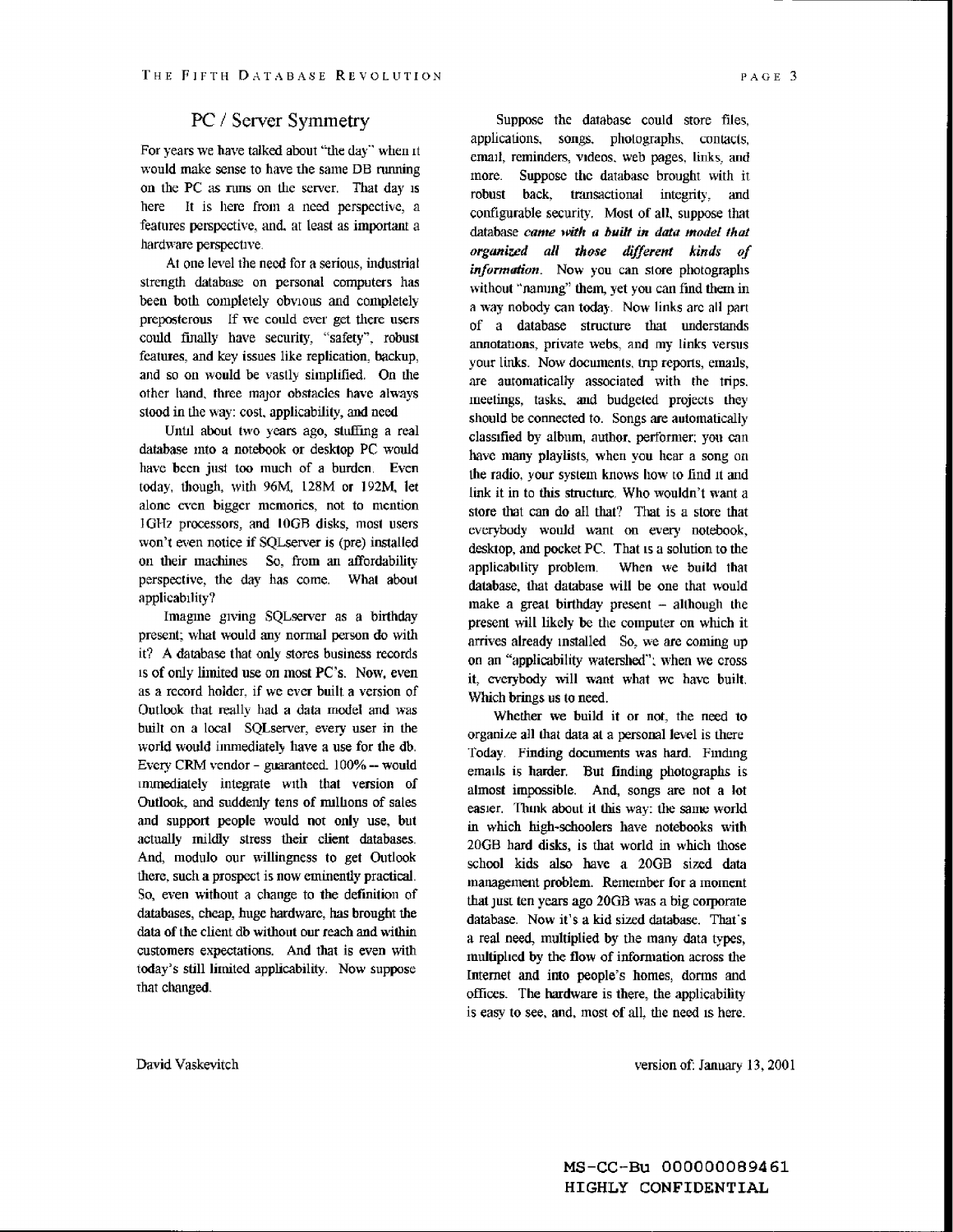### PC / Server Symmetry Suppose the database could store files,

would make sense to have the same DB funtuing more. Suppose the database brought with it on the PC as runs on the server. That day is here It is here from a need perspective, a<br>
features perspective, and, at least as important a<br>
detabless gause with a huit in data used that features perspective, and. at least as important a database *came with a built in data model that*

At one level the need for a serious, industrial *information*. Now you can store photographs strength database on personal computers has without "namuno" them yet you can find them in strength database on personal computers has without "naming" them, yet you can find them in<br>been both completely obvious and completely preposterous If we could ever get there users of a database structure that understands could finally have security, "safety", robust annotations, private webs, and my links versus<br>features, and key issues like replication, backup, we links New decuments tru tenets annuls features, and key issues like replication, backup, your links. Now documents, trip reports, emails, and so on would be vastly simplified. On the strategy are automotically approximately that trips and so on would be vastly simplified. On the are automatically associated with the trips,<br>other hand, three major obstacles have always appearing tasks, and hideologic them other hand, infee major obstacles have always meetings, tasks, and budgeted projects they<br>stood in the way: cost, applicability, and need

Until about two years ago, stuffing a real classified by album, author, performer: you can database into a notebook or desktop PC would database into a notebook or desktop PC would have many playlists, when you hear a song on have been just too much of a burden. Even today, though, with 96M, 128M or 192M, let link it in to this structure. Who wouldn't want a<br>alone even bigger memories, not to mention IGHz processors, and 10GB disks, most users everybody would want on every everybody word of the every interest won't even notice if SOLserver is (pre) installed on their machines So, from an affordability  $\frac{1}{2}$  applicability problem. When we build that perspective, the day has come. What about  $\frac{1}{2}$  deterbore that database will be one that would perspective, the day has come. What about database, that database will be one that would<br>applicability? make a great hirthday present a although the

Imagine giving SQLserver as a birthday present will likely be the computer on which it<br>present, what would any normal person do with arrives already installed. So, we are coming up present; what would any normal person do with arrives already installed So, we are coming up<br>it? A database that only stores business records  $\frac{1}{16}$  A database that only stores business records on an "applicability watershed"; when we cross is of only limited use on most PC's. Now, even  $\frac{1}{16}$  a correlative will wont what we have hailt as a record holder, if we ever built a version of Which brings us to need. Outlook that really had a data model and was<br>built on a local SQL server, every user in the comparisonal that data at a personal local is there built on a local SQL server, every user in the organize all that data at a personal level is there world would immediately have a use for the db. world would immediately have a use for the db. Today. Finding documents was hard. Finding Every CRM vendor - guaranteed, 100% -- would immediately integrate with that version of almost impossible. And, songs are not a lot Outlook, and suddenly tens of millions of sales easier. Think about it this way: the same world<br>and support people would not only use, but in which high-schoolers have notebooles with and support people would not only use, but in which high-schoolers have notebooks with actually mildly stress their client databases.  $20 \text{GB}$  hard disks is that world in which those And, modulo our willingness to get Outlook school kids also have a 20GB sized data<br>there, such a prospect is now eminently practical. there, such a prospect is now eminently practical.<br>So, even without a change to the definition of that we ten years are 2008 was a big expression So, even without a change to the definition of that just ten years ago 20GB was a big corporate databases, cheap, huge hardware, has brought the detabases. Now it's a kid circal databases. Then is databases, cheap, huge hardware, has brought the database. Now it's a kid sized database. That's data base database. That's  $\alpha$  and  $\alpha$  of the client do without our reach and with a real need, multiplied by the many data types, customers expectations. And that is even with  $\alpha$  real need, multiplied by the flow of information across the customers expectations. And that is even with multiplied by the flow of information across the today's still limited applicability. Now suppose  $\frac{1}{2}$ today's suil limited applicability. Now suppose Internet and into people's homes, dorms and that changed.

applications, songs, photographs, contacts, For years we have talked about "the day" when it employed by the pages, links, and would make sense to have the same DB running when  $\frac{1}{2}$  when  $\frac{1}{2}$  when  $\frac{1}{2}$  when  $\frac{1}{2}$  when  $\frac{1}{2}$  when  $\frac{1}{2}$  when robust back, transactional integrity, and ware perspective.<br>At one level the need for a serious, industrial **organized** all those different kinds of a way nobody can today. Now links are all part a in the way: cost, applicability, and need should be connected to. Songs are automatically<br>Until about two years ago, stuffing a real shocked by elbum, owher performer, you can the radio, your system knows how to find it and store that can do all that? That is a store that desktop, and pocket PC. That is a solution to the icability?<br>Imagine giving SQLserver as a birthday make a great birthday present - although the<br>magine giving SQLserver as a birthday it, everybody will want what we have built,

> emails is harder. But finding photographs is 20GB hard disks, is that world in which those offices. The hardware is there, the applicability is easy to see, and, most of all, the need is here.

David Vaskevitch version of: January- 13, 2001

**MS-CC-Bu 000000089461 HIGHLY CONFIDENTIAL**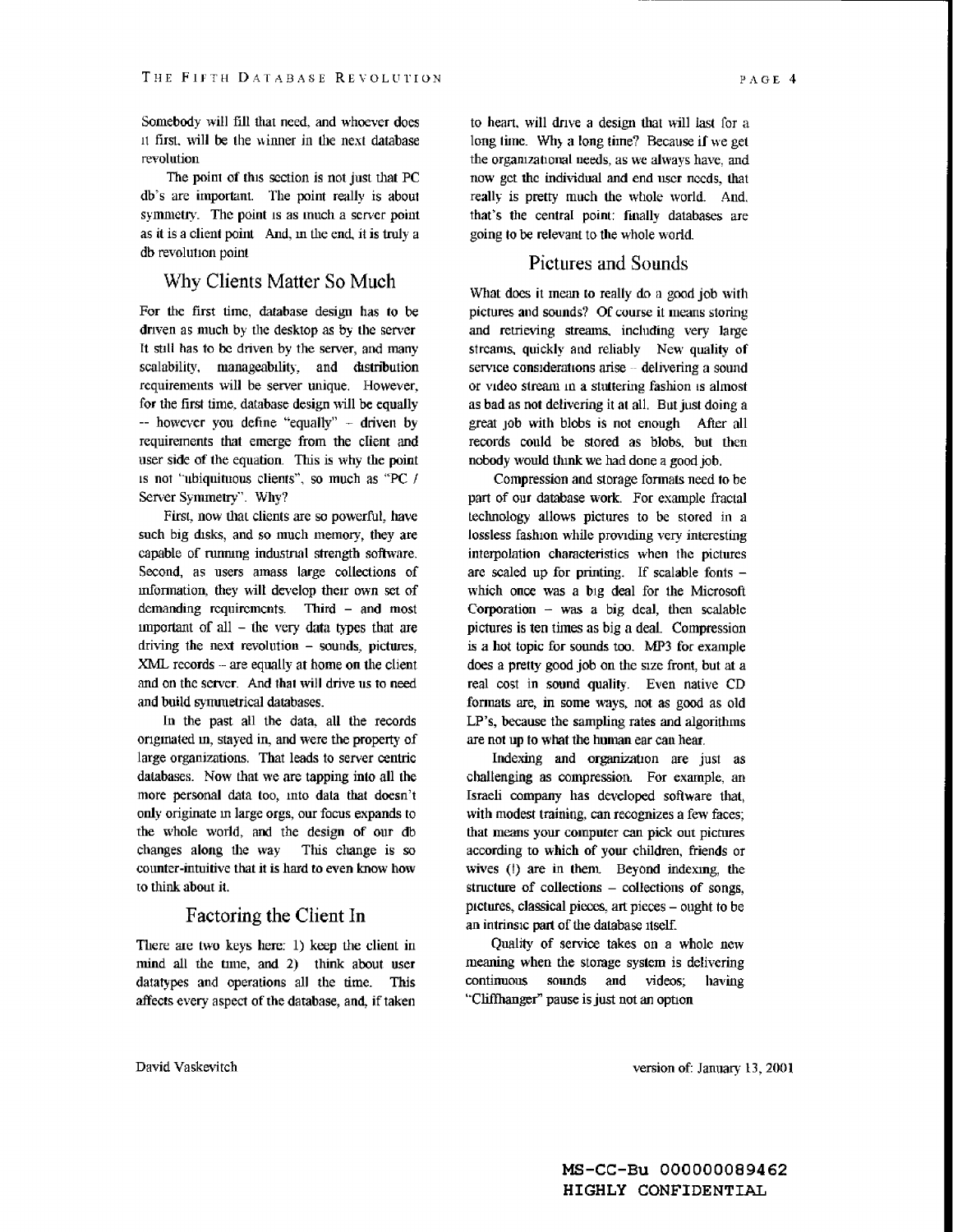Somebody will fill that need, and whoever does to heart, will drive a design that will last for a 11 first, will be the winner in the next database long time. Why a long time? Because if we get revolution the orgamzattonal needs, as we always have, and

db's are important. The point really is about really is pretty much the whole word. Aud, symmetry. The point is as much a server point that's the central point: finally databases are as it is a client point And, in the end, it is truly a going to be relevant to the whole world. db revolution point and sounds are provided by Pictures and Sounds

#### **Why Clients Matter So Much**

driven as much by the desktop as by the server and retrieving streams, including very large It sull has to be driven by the server, and many streams, quickly and reliably New quality of scalability, manageability, and distribution service considerations arise - delivering a sound requirements will be server unique. However, or video stream in a stuttering fashion is almost for the first time, database design will be equally as bad as not delivering it at all. But just doing a -- however you define "equally" - driven by great job with blobs is not enough After all requirements thai emerge from the client and records could be stored as blobs, but then user side of the equation. This is why the point nobody would think we had done a good job. ~s not "ubiquituous clients", so much as "PC / Compression and storage formats need Io be Server Symmetry". Why? part of our database work. For example fractal

such big disks, and so much memory, they are lossless fashion while providing very interesting capable of running industrial strength software. Interpolation characteristics when the pictures Second, as users amass large collections of are scaled up for printing. If scalable fonts information, they will develop their own set of which once was a big deal for the Microsoft demanding requirements. Third - and most Corporation - was a big deal, then scalable ~mportant of all - the very data types that are pictures is ten times as big a deal. Compression driving the next revolution  $-$  sounds, pictures, is a hot topic for sounds too. MP3 for example  $XML$  records  $-$  are equally at home on the client does a pretty good job on the size front, but at a and on the server. And that will drive us to need real cost in sound quality. Even native CD and build symmetrical databases. Formats are, in some ways, not as good as old

originated m, stayed in, and were the property of are not up to what the human ear can hear. large organizations. That leads to server centric **Indexing and organization** are just as databases. Now that we are tapping into all the challenging as compression. For example, an more personal data too, into data that doesn't Israeli company has developed software that, ordy originate m large orgs, our focus expands to with modest training, can recognizes a few faces; the whole world, and the design of our db that means your computer can pick out pictures changes along the way This change is so according to which of your children, friends or counter-intuitive that it is hard to even know how wives (!) are in them. Beyond indexing, the to think about it. structure of collections - collections of songs,

mind all the time, and 2) think about user meaning when the storage system is delivering datatypes and operations all the time. This continuous sounds and videos; having datatypes and operations all the time. This continuous sounds and videos; having affects every aspect of the database, and, if taken "Cliffhangef' pause is just not an option

The point of this section is not just that PC now get the individual and end user needs, that

What does it mean to really do a good job with For the first time, database design has to be pictures and sounds? Of course it means storing

First, now that clients are so powerful, have technology allows pictures to be stored in a In the past all the data, all the records LP's, because the sampling rates and algorithms

Factoring the Client In pictures, classical pieces, art pieces - ought to be an intrinsic part of the database itself.

There are two keys here: 1) keep the client in Quality of service takes on a whole new

David Vaskevitch version of: January t3, 2001

**MS-CC-Bu 000000089462 HIGHLY CONFIDENTIAL**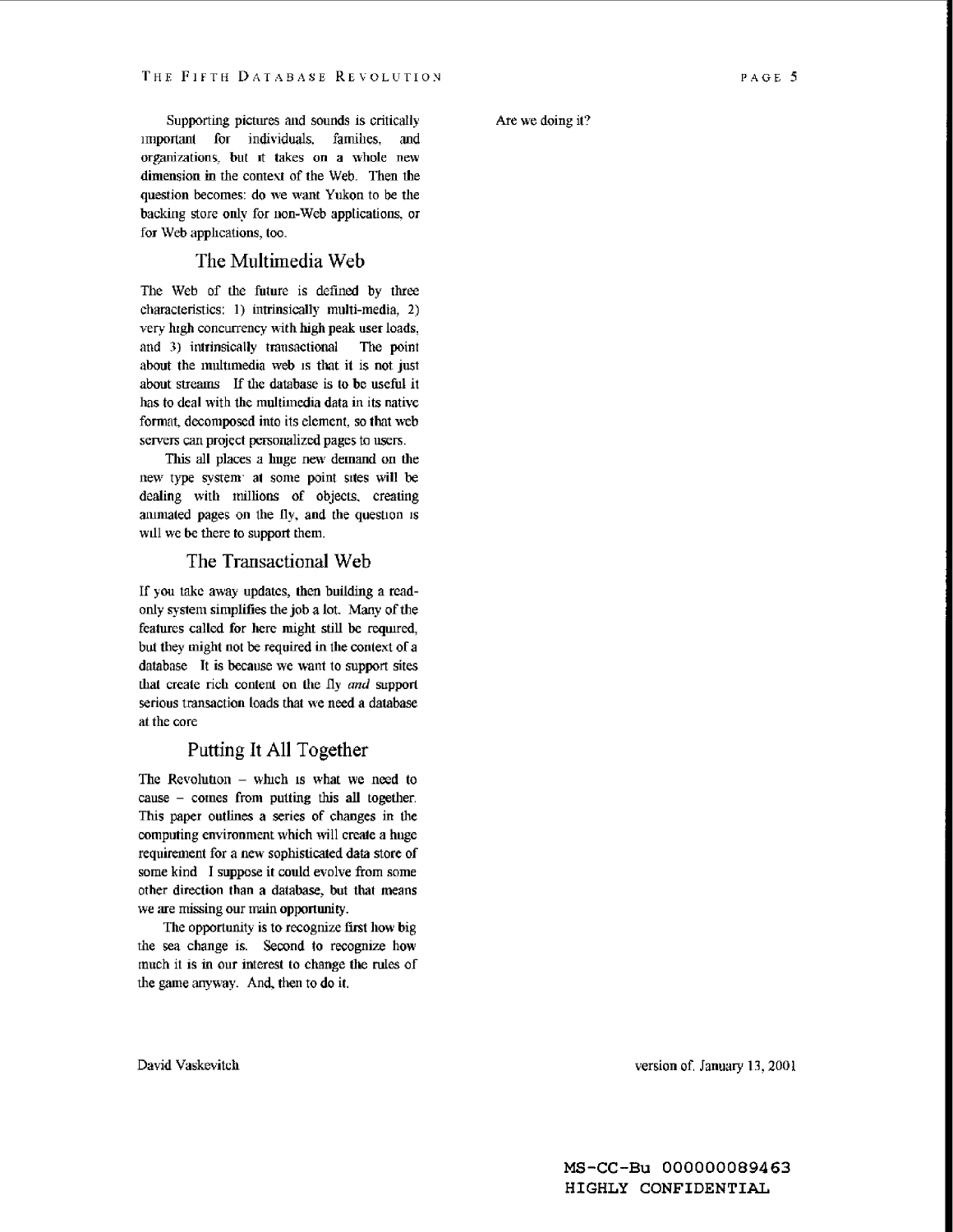Supporting pictures and sounds is critically Are we doing it? mportant for individuals, families, and organizations, but it takes on a whole new dimension in the context of the Web. Then the question becomes: do we warn Yukon to be the backing store only for non-Web applications, or for Web applications, too.

### **The Multimedia Web**

The Web of the future is defined by three characteristics: 1) intrinsically multi-media, 2) very htgh concurrency with high peak user loads, and 3) intrinsically transactional The point about the multtmedia web is that it is not just about streams If the database is to be useful it has to deal with the multimedia data in its native format, decomposed into its element, so that web servers can project personalized pages to users.

This all places a huge new demand on the new type system' at some point sites will be dealing with millions of objects, creating animated pages on the fly, and the question is will we be there to support them.

#### The Transactional Web

If yon take away updates, then building a readonly system simplifies the job a lot. Many of the features called for here might still be required, but they might not be required in the context of a database It is because we want to support sites that create rich content on the fly and support serious transaction loads that we need a database at the core

#### **Putting It All Together**

The Revolution - which is what we need to cause - comes from putting this all together. This paper outlines a series of changes in the computing environment which will create a huge requirement for a new sophisticated dam store of some kind I suppose it could evolve from some other direction than a database, but thai means we are missing our main opportunity.

The opportunity is to recognize first how big the sea change is. Second to recognize how much it is in our intorest to change the rules of the game anyway. And, then to do it.

David Vaskevitch version of. January 13, 2001

MS-CC-Bu 000000089463 HIGHLY CONFIDENTIAL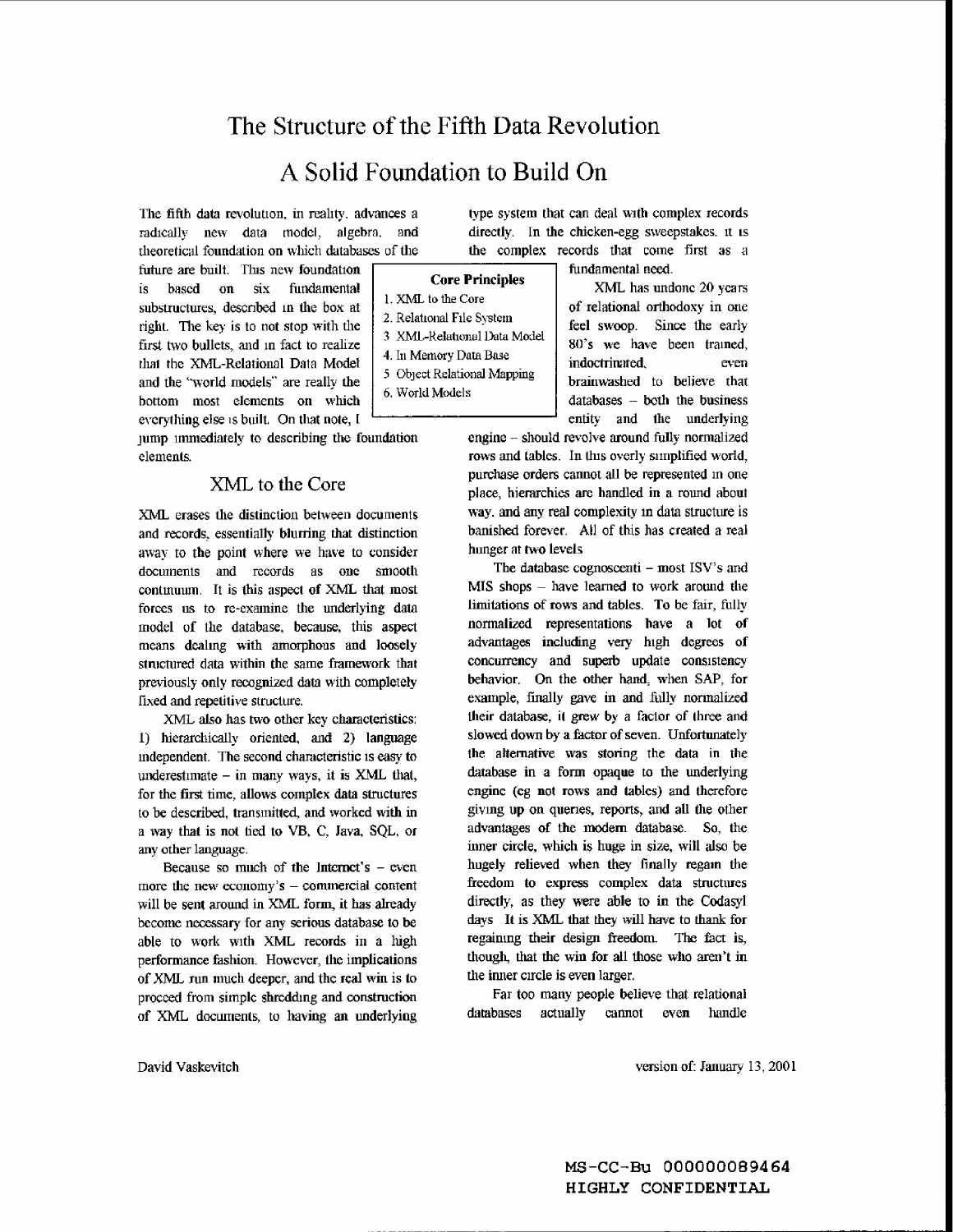# **The Structure of the Fifth Data Revolution**

## **A Solid Foundation to Build On**

The fifth data revolution, in reality, advances a type system that can deal with complex records radically new data model, algebra, and directly. In the chicken-egg sweepstakes, it is theoretical foundation on which databases of the the complex records that come first as a

is based on six fimdamental Core Principles XML has undone 20 years substructures, described in the box at right. The key is to not stop with the  $\begin{array}{|c|c|c|c|c|}\n\hline\n3& XML-Relational Data Model & scale & scale\n\end{array}$  $3 \times 10^{-10}$  S  $\frac{1}{3}$  XIVIL-Relational Data Model  $\frac{1}{3}$  80's we have been trained, that the XML-Relational Data Model  $\begin{array}{c} 4. \text{ In which of Data Base} \\ 4. \text{ In which of Data Base} \end{array}$  indoctrinated, even and the "world models" are really the  $\begin{bmatrix} 5 \end{bmatrix}$  Object Relational Mapping  $\begin{bmatrix} 1 \end{bmatrix}$  brainwashed to believe that bottom most elements on which  $\begin{bmatrix} 0. \text{World Models} \\ \text{de} \end{bmatrix}$  databases - both the business everything else is built. On that note, I everything else is built. On that note,  $I$ 

jump immediately to describing the foundation engine - should revolve around fully normalized elements. The contraction of the contraction of the contraction of the contraction of the contraction of the contraction of the contraction of the contraction of the contraction of the contraction of the contraction of the

and records, essentially blurring that distinction banished forever. A<br>away to the noint where we have to consider hunger at two levels away to the point where we have to consider<br>documents and records as one smooth The database cognoscenti – most ISV's and documents and records as one smooth The database cognoscenti - most ISV's and<br>continuum It is this aspect of XMI, that most MIS shops - have learned to work around the continuum. It is this aspect of XML that most<br>forces us to re-examine the underlying data limitations of rows and tables. To be fair, fully model of the database, because, this aspect structured data within the same framework that concurrency and superb update consistency<br>previously only recognized data with completely behavior. On the other hand, when SAP, for previously only recognized data with completely fixed and repetitive structure, example, finally gave in and fully normalized

a way that is not tied to VB, C, Java, SQL, or any other language. inner circle, which is huge in size, will also be

more the new economy's - commercial content freedom to express complex data structures will be sent around in XML form, it has already directly, as they were able to in the Codasyl<br>become necessary for any serious database to be days It is XML that they will have to thank for become necessary for any serious database to be days It is XML that they will have to thank for able to work with XML records in a high regaining their design freedom. The fact is, able to work with XML records in a high regaining their design freedom. The fact is,<br>nerformance fashion. However the implications though, that the win for all those who aren't in performance fashion. However, the implications though, that the win for all the of XML run much deeper and the real win is to the inner circle is even larger. of XML run much deeper, and the real win is to the inner circle is even larger.<br>proceed from simple shredding and construction Far too many people believe that relational proceed from simple shredding and construction Far too many people believe that relational<br>of XML documents to having an underlying databases actually cannot even handle of XML documents, to having an underlying

future are built. This new foundation **fundamental need.** fundamental need.

purchase orders cannot all be represented m one XML to the Core place, hierarchies are handled in a round about XML erases the distinction between documents way, and any real complexity in data structure is<br>and records essentially blurring that distinction banished forever. All of this has created a real

forces us to re-examine the underlying data limitations of rows and tables. To be fair, fully model of the database because this aspect normalized representations have a lot of means dealing with amorphous and loosely advantages including very high degrees of XML also has two other key characteristics: their database, it grew by a factor of three and 1) hierarchically oriented, and 2) language slowed down by a factor of seven. Unfortunately independent. The second characteristic is easy to the alternative was storing the data in the underestimate – in many ways, it is XML that, database in a form opaque to the underlying<br>for the first time allows countex data structures engine (eg not rows and tables) and therefore for the first time, allows complex data structures engine (eg not rows and tables) and therefore<br>to be described transmitted and worked with in giving up on queries, reports, and all the other to be described, transmitted, and worked with in giving up on queries, reports, and all the other<br>a way that is not fied to VB. C. Java. SOL, or advantages of the modern database. So, the Because so much of the Internet's  $-$  even hugely relieved when they finally regain the

David Vaskevitch version of: January 13, 2001

**MS-CC-Bu 000000089464 HIGHLY CONFIDENTIAL**

| <b>Core Principles</b>       |
|------------------------------|
| 1. XML to the Core           |
| 2. Relational File System    |
| 3 - XML-Relational Data Mode |
| 4. In Memory Data Base       |
| 5 Object Relational Mapping  |
| 6. World Models              |
|                              |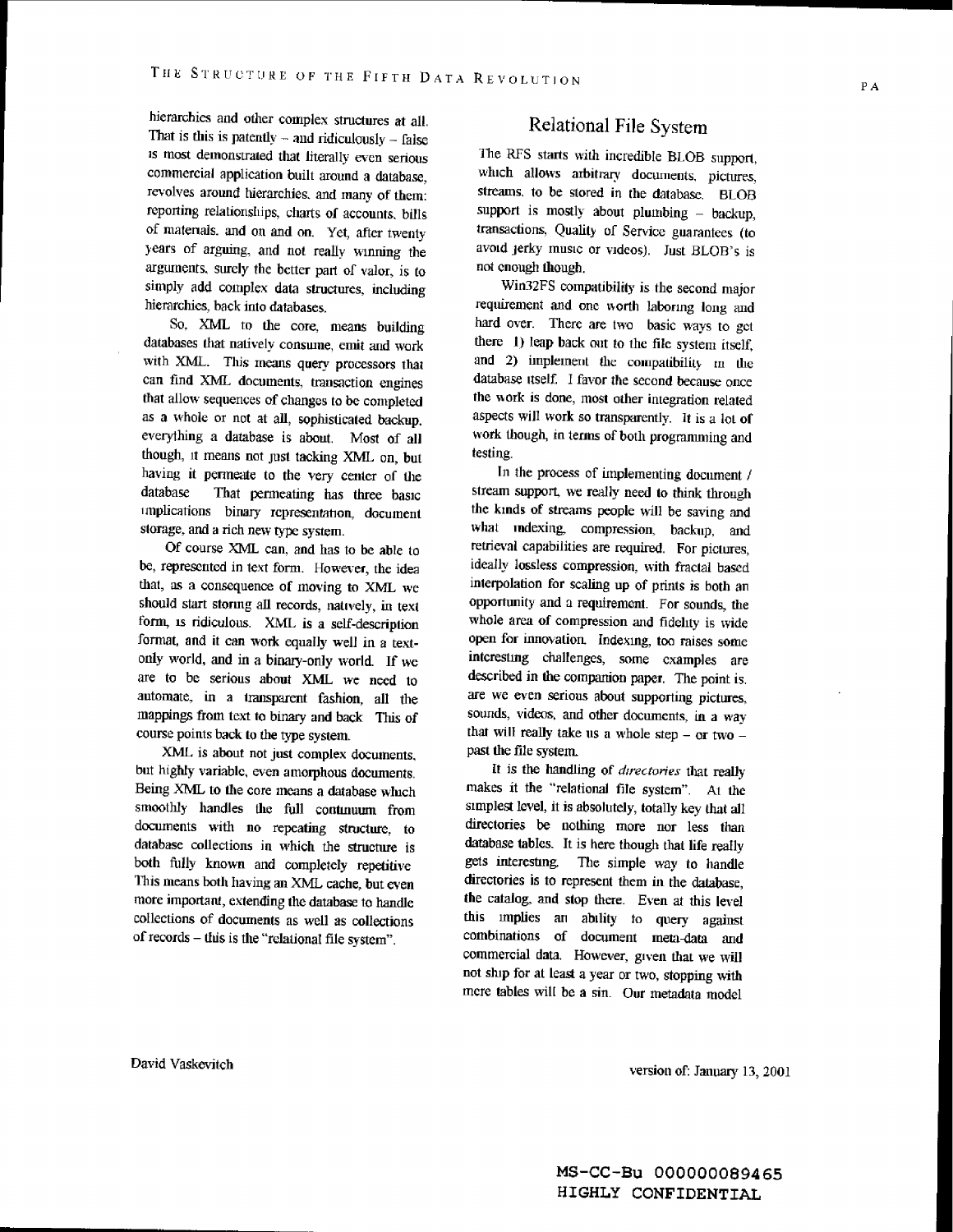hierarchies and other complex structures at all. Relational File System That is this is patently - and ridiculously - false <sup>1</sup>s most demonstrated that literally even serious The RFS starts with incredible BLOB support, commercial application built around a database, which allows arbitrary, documents, pictures, revolves around hierarchies, and many of them: streams, to be stored in the database. BLOB reporting relationships, charts of accounts, bills support is mostly about plumbing - backup, of materials, and on and on. Yel, after twenty wansacfions, Quality of Service guarantees (to years of arguing, and not really winning the avoid jerky music or videos). Just BLOB's is arguments, surely the better part of valor, is to  $\frac{1}{100}$  not enough though. simply add complex data structures, including Win32FS compatibility is the second major

databases that natively consume, emit and work there 1) leap back out to the file system itself, with XML. This means query processors that and 2) implement the compatibility in the can find XML documents, transaction engines database itself. I favor the second because once can find XML documents, transaction engines that allow sequences of changes to be completed the work is done, most other integration related as a whole or not at all, sophisticated backup, aspects will work so transparently. It is a lot of everything a database is about. Most of all work though, in terms of both programming and though, it means not just tacking XML on, but testing. having it permeate to the very center of the In the process of implementing document / database That permeating has three basic stream support, we really need to think through implications binary representation document the kinds of streams people will be saving and Implications binary representation, document storage, and a rich new type system. What indexing, compression, backup, and

be, represented in text form. However, the ideal that, as a consequence of moving to XML we interpolation for scaling up of prints is both an should start stormg all records, natively, in text opportunity and a requirement. For sounds, the form, is ridiculous. XML is a self-description whole area of compression and fidehty is wide format, and it can work equally well in a text- open for innovation. Indexing, too raises some only world, and in a binary-only world. If we interesting challenges, some examples are are to be serious about XML we need to described in the companion paper. The point is, are to be serious about XML we need to automate, in a transparent fashion, all the are we even serious about supporting pictures, mappings from text to binary and back This of sounds, videos, and other documents, in a way mappings from text to binary and back This of course points back to the type system. that will really take us a whole step - or two -

XML is about not just complex documents, past the file system.<br>
highly variable, even amorphous documents and it is the handling of *directories* that really but highly variable, even amorphous documents. Being XML to the core means a database which makes it the "relational file system". At the smoothly handles the full continuum from simplest level, it is absolutely, totally key that all smoothly handles the full continuum from documents with no repeating structure, to directories be nothing more nor less than database collections in which the structure is database tables. It is here though that life really database collections in which the structure is both fully known and completely repetitive gets interesting. The simple way to handle This means both having an XML cache, but even directories is to represent them in the database, more important, extending the database to handle the catalog, and stop there. Even at this level collections of documents as well as collections this mplies an ability to query against of records - this is the "relational file system". combinations of document meta-data and

hierarchies, back into databases. The requirement and one worth laboring long and So, XML to the core, means building hard over. There are two basic ways to get

Of course XML can, and has to be able to retrieval capabilities are required. For pictures, represented in text form. However, the idea ideally lossless compression, with fractal based

commercial data. However, given that we will not ship for at least a year or two, stopping with mere tables will be a sin. Our metadata model

David Vaskovitch version of: January 13, 2001

**MS-CC-Bu 000000089465 HIGHLY CONFIDENTIAL**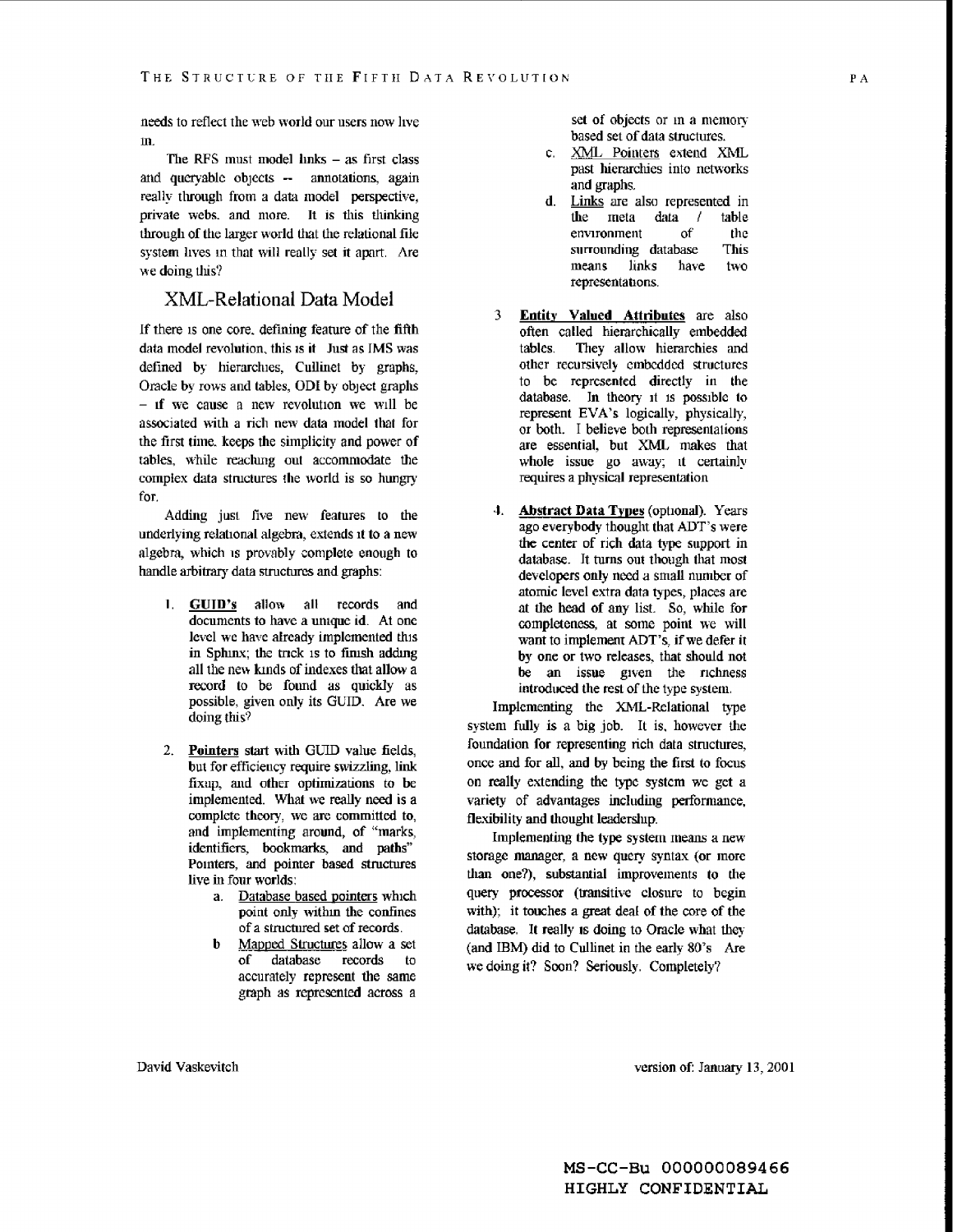needs to reflect the web world our users now hve set of objects or in a memory m.<br>
The DES must model links are first alone and the set of data structures.<br>
C. XML Pointers extend XML

The RFS must model links – as first class c. XML Pointers extend  $\lambda$ ML Pointers extend  $\lambda$ ML and queryable objects -- annotations, again and graphs and graphs. really through from a data model perspective, d. Links are also represented in private webs. and more. It is this thinking  $\frac{d}{dx}$  the meta data / table through of the larger world that the relational file  $\frac{d}{dx}$  environment of the through of the larger world that the relational file  $\frac{1}{2}$  environment of the system lives in that will really set it apart. Are surrounding database This system lives in that will really set it apart. Are s, respectively surrounding database This s, surrounding database This s, rrow we do not we have two we doing this? we doing this?

### **XML-Relafional Data Model**

data model revolution, this is it Just as IMS was tables. They allow hierarchies and defined by hierarchies, Cullinet by graphs, other recursively embedded structures<br>Oracle by rows and tables. ODI by object graphs to be represented directly in the Oracle by rows and tables, ODI by object graphs to be represented directly in the original control of the database. In theory it is possible to - if we cause a new revolution we will be<br>associated with a rich new data model that for<br>the first time, keeps the simplicity and power of<br>are essential but XML makes that tables, while reaching out accommodate the whole issue go away; it certainly complex data structures the world is so hungry complex data structures the world is so hungry for.

anderlying relational algebra, extends at to a new the center of rich data type support in algebra, which is provably complete enough to database. It turns out though that most handle arbitrary data structures and graphs:

- possible, given only its GUID. Are we Implementing the XML-Relational type doing this?
- complete theory, we are committed to, flexibility and thought leadership.<br>and implementing around, of "marks, Implementing the type system
	-
	- of database records to we doing it? Soon? Seriously. Completely? accurately represent the same graph as represented across a

- 
- representataons.
- 3 Entity Valued Attributes are also If there is one core, defining feature of the fifth often called hierarchically embedded are essential, but XML makes that whole issue go away; it certainly
	- Adding just five new features to the 4. **Abstract Data Types** (optional). Years are allowed that ADT's were developers only need a small number of atomic level extra data types, places are 1. **GUID's** allow all records and at the head of any list. So, while for documents to have a unique id. At one completeness at some point we will documents to have a unique id. At one completeness, at some point we will level we have already implemented this  $\frac{1}{2}$  want to implement ADT's if we defer it level we have already implemented this want to implement ADT's, if we defer it<br>in Sphinx; the trick is to finish adding the same or two releases that should not by one or two releases, that should not all the new kinds of indexes that allow a be an issue given the richness record to be found as quickly as introduced the rest of the type system.

system fully is a big job. It is, however the 2. **Pointers** start with GUID value fields, foundation for representing rich data structures, but for efficiency require swizzling, link once and for all, and by being the first to focus but for efficiency require swizzling, link once and for all, and by being the first to focus fixup, and other optimizations to be on really extending the type system we get a fixup, and other optimizations to be on really extending the type system we get a implemented. What we really need is a variety of advantages including performance. variety of advantages including performance,

and implementing around, of "marks, Implementing the type system means a new identifiers, bookmarks, and paths" storage manager, a new query syntax (or more Pointers, and pointer based structures live in four worlds: the state of the title informal improvements to the live in four worlds: a. Database based pointers which query processor (transitive closure to begin point only within the confines with); it touches a great deal of the core of the of a structured set of records. database. It really is doing to Oracle what they Mapped Structures allow a set (and IBM) did to Cullinet in the early 80's Are b Mapped Structures allow a set (and IBM) did to Cullinet in the early  $80^\circ s$  Are of database records to readering to  $\frac{1}{2}$  Second Seconds Completely?

David Vaskevitch version of: January 13, **2001**

**MS-CC-Bu 000000089466 HIGHLY CONFIDENTIAL**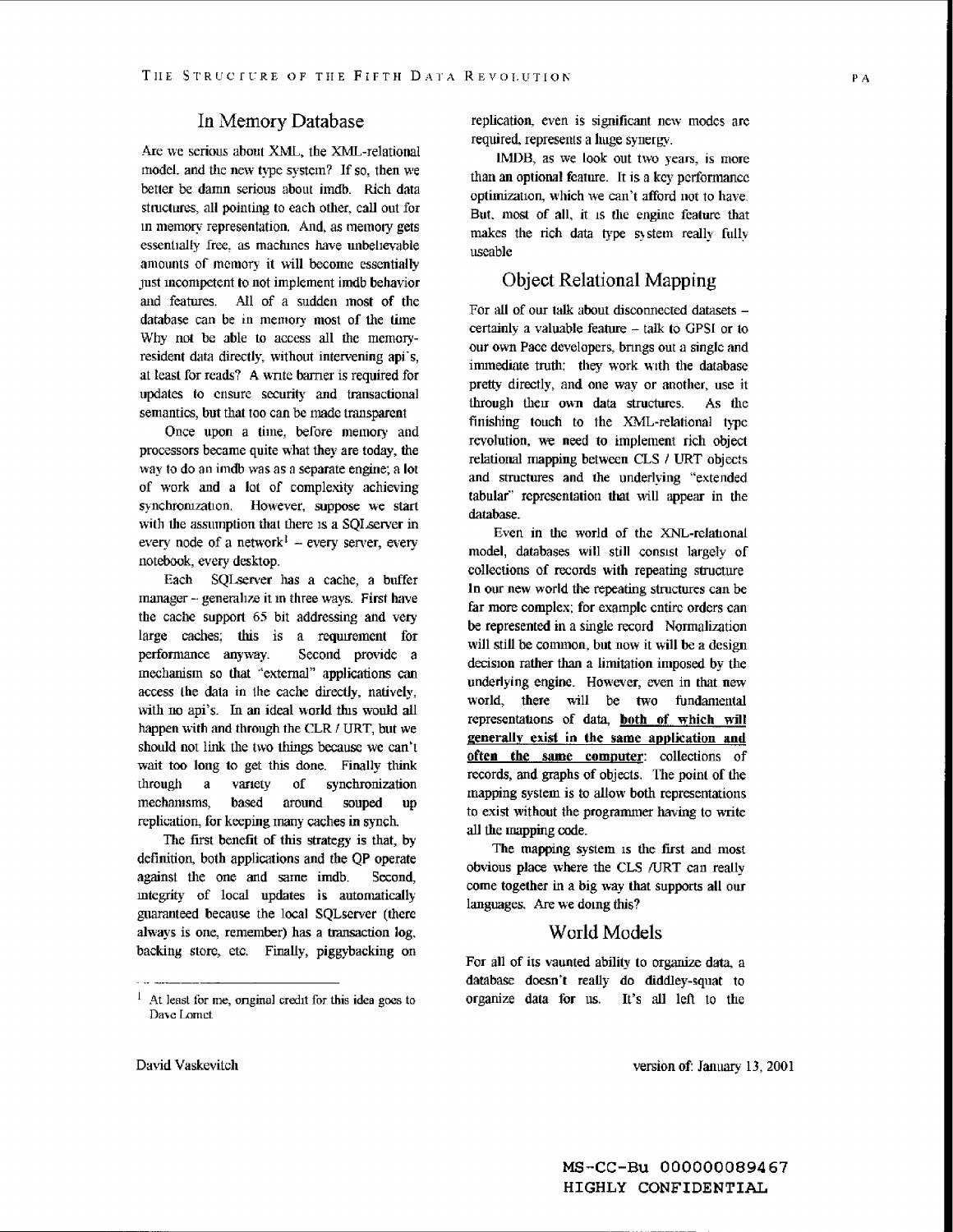#### In Memory Database

Are we serious about XML, the XML-relational model, and the new type system? If so, then we better be damn serious about imdb. Rich data structures, all pointing to each other, call out for in memory representation. And, as memory gets essentially free, as machines have unbelievable amounts of memory it will become essentially just incompetent to not implement imdb behavior and features. All of a sudden most of the database can be in memory most of the time Why not be able to access all the memoryresident data directly, without intervening api's, at least for reads? A write barrier is required for updates to ensure security and transactional semantics, but that too can be made transparent

Once upon a time, before memory and processors became quite what they are today, the way to do an imdb was as a separate engine; a lot of work and a lot of complexity achieving synchronization. However, suppose we start with the assumption that there is a SQL server in every node of a network<sup>1</sup> – every server, every notebook, every desktop.

Each SQL server has a cache, a buffer manager - generalize it in three ways. First have the cache support 65 bit addressing and very large caches; this is a requirement for performance anyway. Second provide a mechanism so that "external" applications can access the data in the cache directly, natively, with no api's. In an ideal world this would all happen with and through the CLR / URT, but we should not link the two things because we can't wait too long to get this done. Finally think variety through  $\mathbf{a}$ of synchronization mechanisms. based around souped  $\mathbf{u}\mathbf{p}$ replication, for keeping many caches in synch.

The first benefit of this strategy is that, by definition, both applications and the QP operate against the one and same imdb. Second. integrity of local updates is automatically guaranteed because the local SQLserver (there always is one, remember) has a transaction log, backing store, etc. Finally, piggybacking on

replication, even is significant new modes are required, represents a huge synergy.

IMDB, as we look out two years, is more than an optional feature. It is a key performance optimization, which we can't afford not to have. But, most of all, it is the engine feature that makes the rich data type system really fully useable

#### **Object Relational Mapping**

For all of our talk about disconnected datasets certainly a valuable feature – talk to GPSI or to our own Pace developers, brings out a single and immediate truth: they work with the database pretty directly, and one way or another, use it through their own data structures. As the finishing touch to the XML-relational type revolution, we need to implement rich object relational mapping between CLS / URT objects and structures and the underlying "extended tabular" representation that will appear in the database.

Even in the world of the XNL-relational model, databases will still consist largely of collections of records with repeating structure In our new world the repeating structures can be far more complex; for example entire orders can be represented in a single record Normalization will still be common, but now it will be a design decision rather than a limitation imposed by the underlying engine. However, even in that new world, there will be two fundamental representations of data, both of which will generally exist in the same application and often the same computer: collections of records, and graphs of objects. The point of the mapping system is to allow both representations to exist without the programmer having to write all the mapping code.

The mapping system is the first and most obvious place where the CLS /URT can really come together in a big way that supports all our languages. Are we doing this?

### World Models

For all of its vaunted ability to organize data, a database doesn't really do diddley-squat to organize data for us. It's all left to the

 $1$  At least for me, original credit for this idea goes to Dave Lomet